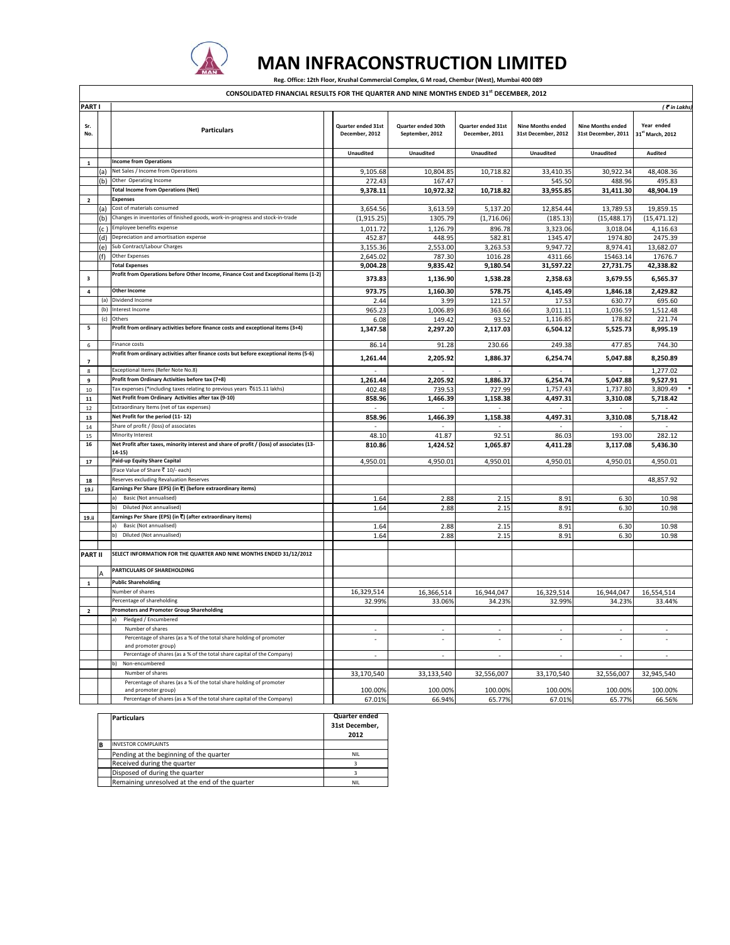

## **MAN INFRACONSTRUCTION LIMITED** Reg. Office: 12th Floor, Krushal Commercial Complex, G M road, Chembur (West), Mumbai 400 089

**CONSOLIDATED FINANCIAL RESULTS FOR THE QUARTER AND NINE MONTHS ENDED 31st DECEMBER, 2012**

| <b>PART</b>             |       |                                                                                                     |  |                                      |                                       |                                             |                                                 | $($ $\overline{\bullet}$ in Lakhs               |                                |
|-------------------------|-------|-----------------------------------------------------------------------------------------------------|--|--------------------------------------|---------------------------------------|---------------------------------------------|-------------------------------------------------|-------------------------------------------------|--------------------------------|
| Sr.<br>No.              |       | <b>Particulars</b>                                                                                  |  | Quarter ended 31st<br>December, 2012 | Quarter ended 30th<br>September, 2012 | <b>Quarter ended 31st</b><br>December, 2011 | <b>Nine Months ended</b><br>31st December, 2012 | <b>Nine Months ended</b><br>31st December, 2011 | Year ended<br>31st March, 2012 |
|                         |       |                                                                                                     |  | Unaudited                            | Unaudited                             | Unaudited                                   | <b>Unaudited</b>                                | Unaudited                                       | Audited                        |
| $\mathbf 1$             |       | <b>Income from Operations</b>                                                                       |  |                                      |                                       |                                             |                                                 |                                                 |                                |
|                         | (a    | Net Sales / Income from Operations                                                                  |  | 9,105.68                             | 10,804.85                             | 10,718.82                                   | 33,410.35                                       | 30,922.34                                       | 48,408.36                      |
|                         | (b    | Other Operating Income                                                                              |  | 272.43                               | 167.47                                |                                             | 545.50                                          | 488.96                                          | 495.83                         |
|                         |       | <b>Total Income from Operations (Net)</b>                                                           |  | 9,378.11                             | 10,972.32                             | 10,718.82                                   | 33,955.85                                       | 31,411.30                                       | 48,904.19                      |
| $\mathbf{2}$            |       | <b>Expenses</b>                                                                                     |  |                                      |                                       |                                             |                                                 |                                                 |                                |
|                         | (a    | Cost of materials consumed                                                                          |  | 3,654.56                             | 3.613.59                              | 5.137.20                                    | 12,854.44                                       | 13,789.53                                       | 19,859.15                      |
|                         | (b)   | Changes in inventories of finished goods, work-in-progress and stock-in-trade                       |  | (1, 915.25)                          | 1305.79                               | (1,716.06)                                  | (185.13)                                        | (15, 488.17)                                    | (15, 471.12)                   |
|                         | (c. ) | Employee benefits expense                                                                           |  | 1,011.72                             | 1,126.79                              | 896.78                                      | 3,323.06                                        | 3.018.04                                        | 4,116.63                       |
|                         | (d)   | Depreciation and amortisation expense                                                               |  | 452.87                               | 448.95                                | 582.81                                      | 1345.47                                         | 1974.80                                         | 2475.39                        |
|                         | (e)   | Sub Contract/Labour Charges                                                                         |  | 3,155.36                             | 2,553.00                              | 3,263.53                                    | 9,947.72                                        | 8,974.41                                        | 13,682.07                      |
|                         | (f)   | <b>Other Expenses</b>                                                                               |  | 2,645.02                             | 787.30                                | 1016.28                                     | 4311.66                                         | 15463.14                                        | 17676.7                        |
|                         |       | <b>Total Expenses</b>                                                                               |  | 9,004.28                             | 9,835.42                              | 9,180.54                                    | 31,597.22                                       | 27,731.75                                       | 42,338.82                      |
| $\overline{\mathbf{3}}$ |       | Profit from Operations before Other Income, Finance Cost and Exceptional Items (1-2)                |  | 373.83                               | 1,136.90                              | 1,538.28                                    | 2,358.63                                        | 3,679.55                                        | 6,565.37                       |
| $\pmb{4}$               |       | <b>Other Income</b>                                                                                 |  | 973.75                               | 1,160.30                              | 578.75                                      | 4,145.49                                        | 1,846.18                                        | 2,429.82                       |
|                         | (a)   | Dividend Income                                                                                     |  | 2.44                                 | 3.99                                  | 121.57                                      | 17.53                                           | 630.77                                          | 695.60                         |
|                         | (b)   | Interest Income                                                                                     |  | 965.23                               | 1,006.89                              | 363.66                                      | 3,011.11                                        | 1,036.59                                        | 1,512.48                       |
|                         | (c)   | Others                                                                                              |  | 6.08                                 | 149.42                                | 93.52                                       | 1,116.85                                        | 178.8                                           | 221.74                         |
| 5                       |       | Profit from ordinary activities before finance costs and exceptional items (3+4)                    |  | 1,347.58                             | 2,297.20                              | 2,117.03                                    | 6,504.12                                        | 5,525.73                                        | 8,995.19                       |
| 6                       |       | <b>Finance costs</b>                                                                                |  | 86.14                                | 91.28                                 | 230.66                                      | 249.38                                          | 477.85                                          | 744.30                         |
| 7                       |       | Profit from ordinary activities after finance costs but before exceptional items (5-6)              |  | 1,261.44                             | 2,205.92                              | 1,886.37                                    | 6,254.74                                        | 5,047.88                                        | 8,250.89                       |
| 8                       |       | Exceptional Items (Refer Note No.8)                                                                 |  |                                      |                                       |                                             |                                                 |                                                 | 1,277.02                       |
| $\overline{9}$          |       | Profit from Ordinary Activities before tax (7+8)                                                    |  | 1,261.44                             | 2,205.92                              | 1,886.37                                    | 6,254.74                                        | 5,047.88                                        | 9,527.91                       |
| $10\,$                  |       | Tax expenses (*including taxes relating to previous years ₹615.11 lakhs)                            |  | 402.48                               | 739.53                                | 727.99                                      | 1,757.43                                        | 1,737.80                                        | 3,809.49                       |
| 11                      |       | Net Profit from Ordinary Activities after tax (9-10)                                                |  | 858.96                               | 1,466.39                              | 1,158.38                                    | 4,497.31                                        | 3,310.08                                        | 5,718.42                       |
| 12                      |       | Extraordinary Items (net of tax expenses)                                                           |  |                                      |                                       |                                             |                                                 |                                                 |                                |
| 13                      |       | Net Profit for the period (11-12)                                                                   |  | 858.96                               | 1,466.39                              | 1,158.38                                    | 4,497.31                                        | 3,310.08                                        | 5,718.42                       |
| 14                      |       | Share of profit / (loss) of associates                                                              |  |                                      |                                       |                                             |                                                 |                                                 |                                |
| 15                      |       | Minority Interest                                                                                   |  | 48.10                                | 41.87                                 | 92.51                                       | 86.03                                           | 193.00                                          | 282.12                         |
| ${\bf 16}$              |       | Net Profit after taxes, minority interest and share of profit / (loss) of associates (13-<br>14-15) |  | 810.86                               | 1,424.52                              | 1,065.87                                    | 4,411.28                                        | 3,117.08                                        | 5,436.30                       |
| 17                      |       | Paid-up Equity Share Capital                                                                        |  | 4,950.01                             | 4,950.01                              | 4,950.01                                    | 4,950.01                                        | 4,950.0                                         | 4,950.01                       |
|                         |       | (Face Value of Share ₹ 10/- each)                                                                   |  |                                      |                                       |                                             |                                                 |                                                 |                                |
| 18                      |       | Reserves excluding Revaluation Reserves                                                             |  |                                      |                                       |                                             |                                                 |                                                 | 48,857.92                      |
| 19.i                    |       | Earnings Per Share (EPS) (in ₹) (before extraordinary items)                                        |  |                                      |                                       |                                             |                                                 |                                                 |                                |
|                         |       | Basic (Not annualised)<br>a)                                                                        |  | 1.64                                 | 2.88                                  | 2.15                                        | 8.91                                            | 6.3C                                            | 10.98                          |
|                         |       | Diluted (Not annualised)<br>b)                                                                      |  | 1.64                                 | 2.88                                  | 2.15                                        | 8.91                                            | 6.30                                            | 10.98                          |
| 19.ii                   |       | Earnings Per Share (EPS) (in ₹) (after extraordinary items)                                         |  |                                      |                                       |                                             |                                                 |                                                 |                                |
|                         |       | Basic (Not annualised)<br>a)                                                                        |  | 1.64                                 | 2.88                                  | 2.15                                        | 8.91                                            | 6.3C                                            | 10.98                          |
|                         |       | Diluted (Not annualised)<br>h)                                                                      |  | 1.64                                 | 2.88                                  | 2.15                                        | 8.91                                            | 6.30                                            | 10.98                          |
| <b>PART II</b>          |       | SELECT INFORMATION FOR THE QUARTER AND NINE MONTHS ENDED 31/12/2012                                 |  |                                      |                                       |                                             |                                                 |                                                 |                                |
|                         |       | PARTICULARS OF SHAREHOLDING                                                                         |  |                                      |                                       |                                             |                                                 |                                                 |                                |
|                         |       |                                                                                                     |  |                                      |                                       |                                             |                                                 |                                                 |                                |
| $\mathbf 1$             |       | <b>Public Shareholding</b>                                                                          |  |                                      |                                       |                                             |                                                 |                                                 |                                |
|                         |       | Number of shares                                                                                    |  | 16,329,514                           | 16,366,514                            | 16,944,047                                  | 16,329,514                                      | 16,944,047                                      | 16,554,514                     |
|                         |       | Percentage of shareholding                                                                          |  | 32.99%                               | 33.06%                                | 34.23%                                      | 32.99%                                          | 34.23%                                          | 33.44%                         |
| $\overline{2}$          |       | <b>Promoters and Promoter Group Shareholding</b>                                                    |  |                                      |                                       |                                             |                                                 |                                                 |                                |
|                         |       | Pledged / Encumbered                                                                                |  |                                      |                                       |                                             |                                                 |                                                 |                                |
|                         |       | Number of shares                                                                                    |  | ×,                                   |                                       | ×                                           |                                                 |                                                 |                                |
|                         |       | Percentage of shares (as a % of the total share holding of promoter<br>and promoter group)          |  |                                      |                                       |                                             |                                                 |                                                 |                                |
|                         |       | Percentage of shares (as a % of the total share capital of the Company)                             |  | $\overline{\phantom{a}}$             | $\overline{\phantom{a}}$              | $\overline{\phantom{a}}$                    | $\overline{\phantom{a}}$                        | $\overline{\phantom{a}}$                        | $\overline{\phantom{a}}$       |
|                         |       | Non-encumbered<br>b)                                                                                |  |                                      |                                       |                                             |                                                 |                                                 |                                |
|                         |       | Number of shares                                                                                    |  | 33,170,540                           | 33,133,540                            | 32,556,007                                  | 33,170,540                                      | 32,556,007                                      | 32,945,540                     |
|                         |       | Percentage of shares (as a % of the total share holding of promoter<br>and promoter group)          |  | 100.00%                              | 100.00%                               | 100.00%                                     | 100.00%                                         | 100.00%                                         | 100.00%                        |
|                         |       | Percentage of shares (as a % of the total share capital of the Company)                             |  |                                      |                                       |                                             |                                                 |                                                 |                                |
|                         |       |                                                                                                     |  | 67.01%                               | 66.94%                                | 65.77%                                      | 67.01%                                          | 65.77%                                          | 66.56%                         |

|   | <b>Particulars</b>                             | Quarter ended<br>31st December.<br>2012 |
|---|------------------------------------------------|-----------------------------------------|
| B | <b>INVESTOR COMPLAINTS</b>                     |                                         |
|   | Pending at the beginning of the quarter        | NII                                     |
|   | Received during the quarter                    |                                         |
|   | Disposed of during the quarter                 |                                         |
|   | Remaining unresolved at the end of the quarter | NII.                                    |